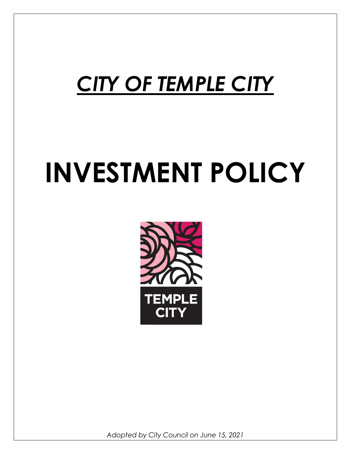# CITY OF TEMPLE CITY

# INVESTMENT POLICY



Adopted by City Council on June 15, 2021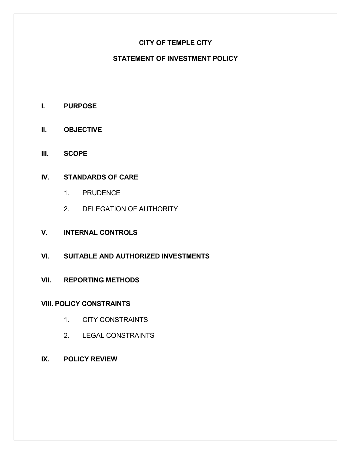# CITY OF TEMPLE CITY

# STATEMENT OF INVESTMENT POLICY

- I. PURPOSE
- II. OBJECTIVE
- III. SCOPE

# IV. STANDARDS OF CARE

- 1. PRUDENCE
- 2. DELEGATION OF AUTHORITY
- V. INTERNAL CONTROLS
- VI. SUITABLE AND AUTHORIZED INVESTMENTS
- VII. REPORTING METHODS

### VIII. POLICY CONSTRAINTS

- 1. CITY CONSTRAINTS
- 2. LEGAL CONSTRAINTS
- IX. POLICY REVIEW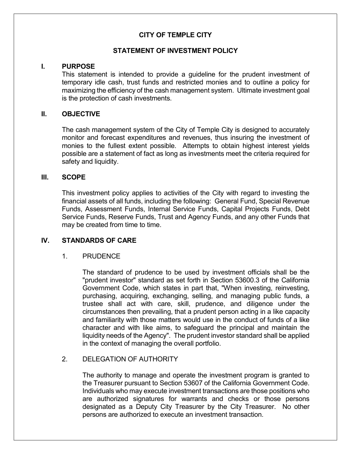# CITY OF TEMPLE CITY

#### STATEMENT OF INVESTMENT POLICY

#### I. PURPOSE

 This statement is intended to provide a guideline for the prudent investment of temporary idle cash, trust funds and restricted monies and to outline a policy for maximizing the efficiency of the cash management system. Ultimate investment goal is the protection of cash investments.

#### II. OBJECTIVE

 The cash management system of the City of Temple City is designed to accurately monitor and forecast expenditures and revenues, thus insuring the investment of monies to the fullest extent possible. Attempts to obtain highest interest yields possible are a statement of fact as long as investments meet the criteria required for safety and liquidity.

#### III. SCOPE

 This investment policy applies to activities of the City with regard to investing the financial assets of all funds, including the following: General Fund, Special Revenue Funds, Assessment Funds, Internal Service Funds, Capital Projects Funds, Debt Service Funds, Reserve Funds, Trust and Agency Funds, and any other Funds that may be created from time to time.

### IV. STANDARDS OF CARE

#### 1. PRUDENCE

 The standard of prudence to be used by investment officials shall be the "prudent investor" standard as set forth in Section 53600.3 of the California Government Code, which states in part that, "When investing, reinvesting, purchasing, acquiring, exchanging, selling, and managing public funds, a trustee shall act with care, skill, prudence, and diligence under the circumstances then prevailing, that a prudent person acting in a like capacity and familiarity with those matters would use in the conduct of funds of a like character and with like aims, to safeguard the principal and maintain the liquidity needs of the Agency". The prudent investor standard shall be applied in the context of managing the overall portfolio.

#### 2. DELEGATION OF AUTHORITY

 The authority to manage and operate the investment program is granted to the Treasurer pursuant to Section 53607 of the California Government Code. Individuals who may execute investment transactions are those positions who are authorized signatures for warrants and checks or those persons designated as a Deputy City Treasurer by the City Treasurer. No other persons are authorized to execute an investment transaction.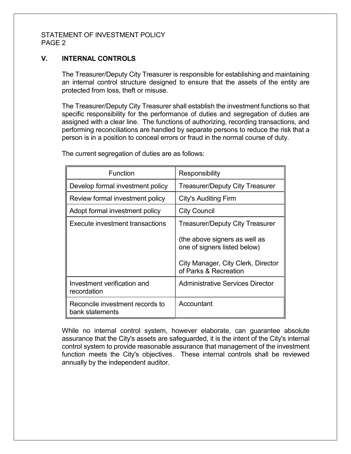### V. INTERNAL CONTROLS

 The Treasurer/Deputy City Treasurer is responsible for establishing and maintaining an internal control structure designed to ensure that the assets of the entity are protected from loss, theft or misuse.

 The Treasurer/Deputy City Treasurer shall establish the investment functions so that specific responsibility for the performance of duties and segregation of duties are assigned with a clear line. The functions of authorizing, recording transactions, and performing reconciliations are handled by separate persons to reduce the risk that a person is in a position to conceal errors or fraud in the normal course of duty.

| Function                                           | Responsibility                                                |  |  |
|----------------------------------------------------|---------------------------------------------------------------|--|--|
| Develop formal investment policy                   | <b>Treasurer/Deputy City Treasurer</b>                        |  |  |
| Review formal investment policy                    | <b>City's Auditing Firm</b>                                   |  |  |
| Adopt formal investment policy                     | <b>City Council</b>                                           |  |  |
| Execute investment transactions                    | <b>Treasurer/Deputy City Treasurer</b>                        |  |  |
|                                                    | (the above signers as well as<br>one of signers listed below) |  |  |
|                                                    | City Manager, City Clerk, Director<br>of Parks & Recreation   |  |  |
| Investment verification and<br>recordation         | Administrative Services Director                              |  |  |
| Reconcile investment records to<br>bank statements | Accountant                                                    |  |  |

The current segregation of duties are as follows:

 While no internal control system, however elaborate, can guarantee absolute assurance that the City's assets are safeguarded, it is the intent of the City's internal control system to provide reasonable assurance that management of the investment function meets the City's objectives. These internal controls shall be reviewed annually by the independent auditor.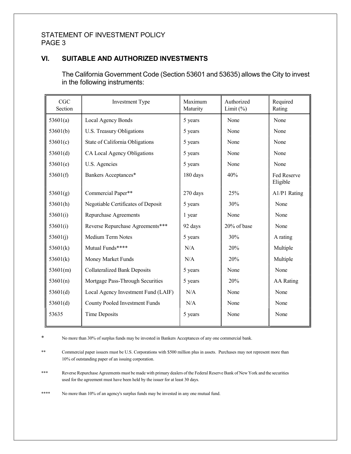# VI. SUITABLE AND AUTHORIZED INVESTMENTS

 The California Government Code (Section 53601 and 53635) allows the City to invest in the following instruments:

| CGC<br>Section | Investment Type                       | Maximum<br>Maturity | Authorized<br>Limit $(\%)$ | Required<br>Rating      |
|----------------|---------------------------------------|---------------------|----------------------------|-------------------------|
| 53601(a)       | Local Agency Bonds                    | 5 years             | None                       | None                    |
| 53601(b)       | U.S. Treasury Obligations             | 5 years             | None                       | None                    |
| 53601(c)       | State of California Obligations       | 5 years             | None                       | None                    |
| 53601(d)       | CA Local Agency Obligations           | 5 years             | None                       | None                    |
| 53601(e)       | U.S. Agencies                         | 5 years             | None                       | None                    |
| 53601(f)       | Bankers Acceptances*                  | 180 days            | 40%                        | Fed Reserve<br>Eligible |
| 53601(g)       | Commercial Paper**                    | 270 days            | 25%                        | A1/P1 Rating            |
| 53601(h)       | Negotiable Certificates of Deposit    | 5 years             | 30%                        | None                    |
| 53601(i)       | Repurchase Agreements                 | 1 year              | None                       | None                    |
| 53601(i)       | Reverse Repurchase Agreements***      | 92 days             | 20% of base                | None                    |
| 53601(j)       | Medium Term Notes                     | 5 years             | 30%                        | A rating                |
| 53601(k)       | Mutual Funds****                      | N/A                 | 20%                        | Multiple                |
| 53601(k)       | Money Market Funds                    | N/A                 | 20%                        | Multiple                |
| 53601(m)       | <b>Collateralized Bank Deposits</b>   | 5 years             | None                       | None                    |
| 53601(n)       | Mortgage Pass-Through Securities      | 5 years             | 20%                        | <b>AA</b> Rating        |
| 53601(d)       | Local Agency Investment Fund (LAIF)   | N/A                 | None                       | None                    |
| 53601(d)       | <b>County Pooled Investment Funds</b> | N/A                 | None                       | None                    |
| 53635          | <b>Time Deposits</b>                  | 5 years             | None                       | None                    |

\* No more than 30% of surplus funds may be invested in Bankers Acceptances of any one commercial bank.

\*\* Commercial paper issuers must be U.S. Corporations with \$500 million plus in assets. Purchases may not represent more than 10% of outstanding paper of an issuing corporation.

\*\*\* Reverse Repurchase Agreements must be made with primary dealers of the Federal Reserve Bank of New York and the securities used for the agreement must have been held by the issuer for at least 30 days.

\*\*\*\* No more than 10% of an agency's surplus funds may be invested in any one mutual fund.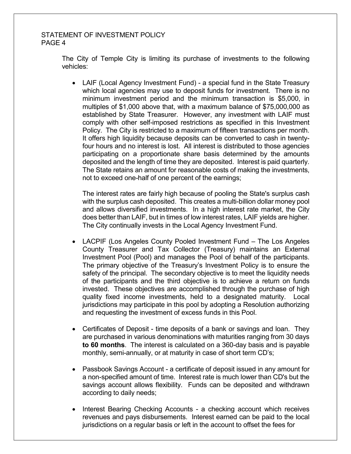The City of Temple City is limiting its purchase of investments to the following vehicles:

 LAIF (Local Agency Investment Fund) - a special fund in the State Treasury which local agencies may use to deposit funds for investment. There is no minimum investment period and the minimum transaction is \$5,000, in multiples of \$1,000 above that, with a maximum balance of \$75,000,000 as established by State Treasurer. However, any investment with LAIF must comply with other self-imposed restrictions as specified in this Investment Policy. The City is restricted to a maximum of fifteen transactions per month. It offers high liquidity because deposits can be converted to cash in twentyfour hours and no interest is lost. All interest is distributed to those agencies participating on a proportionate share basis determined by the amounts deposited and the length of time they are deposited. Interest is paid quarterly. The State retains an amount for reasonable costs of making the investments, not to exceed one-half of one percent of the earnings;

 The interest rates are fairly high because of pooling the State's surplus cash with the surplus cash deposited. This creates a multi-billion dollar money pool and allows diversified investments. In a high interest rate market, the City does better than LAIF, but in times of low interest rates, LAIF yields are higher. The City continually invests in the Local Agency Investment Fund.

- LACPIF (Los Angeles County Pooled Investment Fund The Los Angeles County Treasurer and Tax Collector (Treasury) maintains an External Investment Pool (Pool) and manages the Pool of behalf of the participants. The primary objective of the Treasury's Investment Policy is to ensure the safety of the principal. The secondary objective is to meet the liquidity needs of the participants and the third objective is to achieve a return on funds invested. These objectives are accomplished through the purchase of high quality fixed income investments, held to a designated maturity. Local jurisdictions may participate in this pool by adopting a Resolution authorizing and requesting the investment of excess funds in this Pool.
- Certificates of Deposit time deposits of a bank or savings and loan. They are purchased in various denominations with maturities ranging from 30 days to 60 months. The interest is calculated on a 360-day basis and is payable monthly, semi-annually, or at maturity in case of short term CD's;
- Passbook Savings Account a certificate of deposit issued in any amount for a non-specified amount of time. Interest rate is much lower than CD's but the savings account allows flexibility. Funds can be deposited and withdrawn according to daily needs;
- Interest Bearing Checking Accounts a checking account which receives revenues and pays disbursements. Interest earned can be paid to the local jurisdictions on a regular basis or left in the account to offset the fees for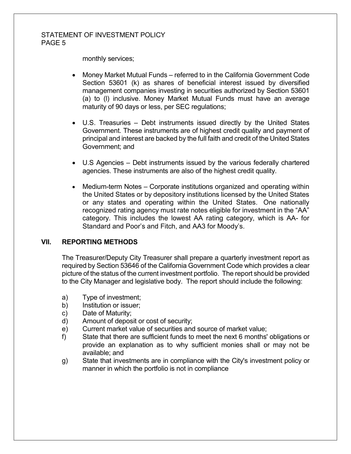monthly services;

- Money Market Mutual Funds referred to in the California Government Code Section 53601 (k) as shares of beneficial interest issued by diversified management companies investing in securities authorized by Section 53601 (a) to (l) inclusive. Money Market Mutual Funds must have an average maturity of 90 days or less, per SEC regulations;
- U.S. Treasuries Debt instruments issued directly by the United States Government. These instruments are of highest credit quality and payment of principal and interest are backed by the full faith and credit of the United States Government; and
- U.S Agencies Debt instruments issued by the various federally chartered agencies. These instruments are also of the highest credit quality.
- Medium-term Notes Corporate institutions organized and operating within the United States or by depository institutions licensed by the United States or any states and operating within the United States. One nationally recognized rating agency must rate notes eligible for investment in the "AA" category. This includes the lowest AA rating category, which is AA- for Standard and Poor's and Fitch, and AA3 for Moody's.

#### VII. REPORTING METHODS

 The Treasurer/Deputy City Treasurer shall prepare a quarterly investment report as required by Section 53646 of the California Government Code which provides a clear picture of the status of the current investment portfolio. The report should be provided to the City Manager and legislative body. The report should include the following:

- a) Type of investment;
- b) Institution or issuer;
- c) Date of Maturity;
- d) Amount of deposit or cost of security;
- e) Current market value of securities and source of market value;
- f) State that there are sufficient funds to meet the next 6 months' obligations or provide an explanation as to why sufficient monies shall or may not be available; and
- g) State that investments are in compliance with the City's investment policy or manner in which the portfolio is not in compliance